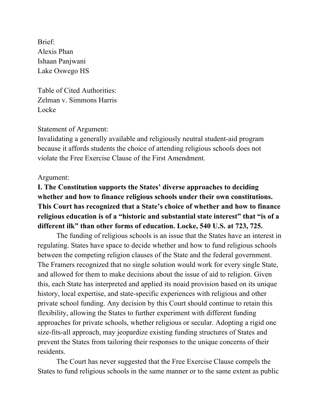Brief: Alexis Phan Ishaan Panjwani Lake Oswego HS

Table of Cited Authorities: Zelman v. Simmons Harris Locke

### Statement of Argument:

Invalidating a generally available and religiously neutral student-aid program because it affords students the choice of attending religious schools does not violate the Free Exercise Clause of the First Amendment.

#### Argument:

# **I. The Constitution supports the States' diverse approaches to deciding whether and how to finance religious schools under their own constitutions. This Court has recognized that a State's choice of whether and how to finance religious education is of a "historic and substantial state interest" that "is of a different ilk" than other forms of education. Locke, 540 U.S. at 723, 725.**

The funding of religious schools is an issue that the States have an interest in regulating. States have space to decide whether and how to fund religious schools between the competing religion clauses of the State and the federal government. The Framers recognized that no single solution would work for every single State, and allowed for them to make decisions about the issue of aid to religion. Given this, each State has interpreted and applied its noaid provision based on its unique history, local expertise, and state-specific experiences with religious and other private school funding. Any decision by this Court should continue to retain this flexibility, allowing the States to further experiment with different funding approaches for private schools, whether religious or secular. Adopting a rigid one size-fits-all approach, may jeopardize existing funding structures of States and prevent the States from tailoring their responses to the unique concerns of their residents.

The Court has never suggested that the Free Exercise Clause compels the States to fund religious schools in the same manner or to the same extent as public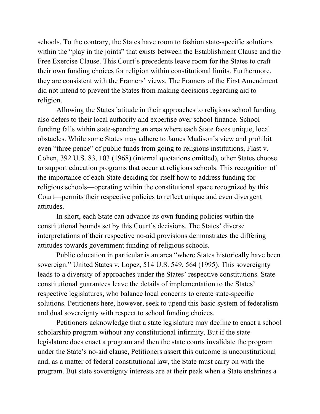schools. To the contrary, the States have room to fashion state-specific solutions within the "play in the joints" that exists between the Establishment Clause and the Free Exercise Clause. This Court's precedents leave room for the States to craft their own funding choices for religion within constitutional limits. Furthermore, they are consistent with the Framers' views. The Framers of the First Amendment did not intend to prevent the States from making decisions regarding aid to religion.

Allowing the States latitude in their approaches to religious school funding also defers to their local authority and expertise over school finance. School funding falls within state-spending an area where each State faces unique, local obstacles. While some States may adhere to James Madison's view and prohibit even "three pence" of public funds from going to religious institutions, Flast v. Cohen, 392 U.S. 83, 103 (1968) (internal quotations omitted), other States choose to support education programs that occur at religious schools. This recognition of the importance of each State deciding for itself how to address funding for religious schools—operating within the constitutional space recognized by this Court—permits their respective policies to reflect unique and even divergent attitudes.

In short, each State can advance its own funding policies within the constitutional bounds set by this Court's decisions. The States' diverse interpretations of their respective no-aid provisions demonstrates the differing attitudes towards government funding of religious schools.

Public education in particular is an area "where States historically have been sovereign." United States v. Lopez, 514 U.S. 549, 564 (1995). This sovereignty leads to a diversity of approaches under the States' respective constitutions. State constitutional guarantees leave the details of implementation to the States' respective legislatures, who balance local concerns to create state-specific solutions. Petitioners here, however, seek to upend this basic system of federalism and dual sovereignty with respect to school funding choices.

Petitioners acknowledge that a state legislature may decline to enact a school scholarship program without any constitutional infirmity. But if the state legislature does enact a program and then the state courts invalidate the program under the State's no-aid clause, Petitioners assert this outcome is unconstitutional and, as a matter of federal constitutional law, the State must carry on with the program. But state sovereignty interests are at their peak when a State enshrines a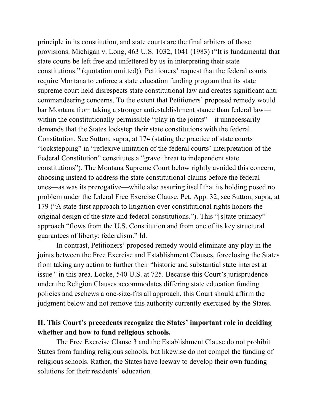principle in its constitution, and state courts are the final arbiters of those provisions. Michigan v. Long, 463 U.S. 1032, 1041 (1983) ("It is fundamental that state courts be left free and unfettered by us in interpreting their state constitutions." (quotation omitted)). Petitioners' request that the federal courts require Montana to enforce a state education funding program that its state supreme court held disrespects state constitutional law and creates significant anti commandeering concerns. To the extent that Petitioners' proposed remedy would bar Montana from taking a stronger antiestablishment stance than federal law within the constitutionally permissible "play in the joints"—it unnecessarily demands that the States lockstep their state constitutions with the federal Constitution. See Sutton, supra, at 174 (stating the practice of state courts "lockstepping" in "reflexive imitation of the federal courts' interpretation of the Federal Constitution" constitutes a "grave threat to independent state constitutions"). The Montana Supreme Court below rightly avoided this concern, choosing instead to address the state constitutional claims before the federal ones—as was its prerogative—while also assuring itself that its holding posed no problem under the federal Free Exercise Clause. Pet. App. 32; see Sutton, supra, at 179 ("A state-first approach to litigation over constitutional rights honors the original design of the state and federal constitutions."). This "[s]tate primacy" approach "flows from the U.S. Constitution and from one of its key structural guarantees of liberty: federalism." Id.

In contrast, Petitioners' proposed remedy would eliminate any play in the joints between the Free Exercise and Establishment Clauses, foreclosing the States from taking any action to further their "historic and substantial state interest at issue '' in this area. Locke, 540 U.S. at 725. Because this Court's jurisprudence under the Religion Clauses accommodates differing state education funding policies and eschews a one-size-fits all approach, this Court should affirm the judgment below and not remove this authority currently exercised by the States.

## **II. This Court's precedents recognize the States' important role in deciding whether and how to fund religious schools.**

The Free Exercise Clause 3 and the Establishment Clause do not prohibit States from funding religious schools, but likewise do not compel the funding of religious schools. Rather, the States have leeway to develop their own funding solutions for their residents' education.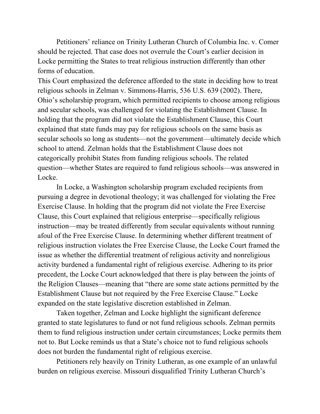Petitioners' reliance on Trinity Lutheran Church of Columbia Inc. v. Comer should be rejected. That case does not overrule the Court's earlier decision in Locke permitting the States to treat religious instruction differently than other forms of education.

This Court emphasized the deference afforded to the state in deciding how to treat religious schools in Zelman v. Simmons-Harris, 536 U.S. 639 (2002). There, Ohio's scholarship program, which permitted recipients to choose among religious and secular schools, was challenged for violating the Establishment Clause. In holding that the program did not violate the Establishment Clause, this Court explained that state funds may pay for religious schools on the same basis as secular schools so long as students—not the government—ultimately decide which school to attend. Zelman holds that the Establishment Clause does not categorically prohibit States from funding religious schools. The related question—whether States are required to fund religious schools—was answered in Locke.

In Locke, a Washington scholarship program excluded recipients from pursuing a degree in devotional theology; it was challenged for violating the Free Exercise Clause. In holding that the program did not violate the Free Exercise Clause, this Court explained that religious enterprise—specifically religious instruction—may be treated differently from secular equivalents without running afoul of the Free Exercise Clause. In determining whether different treatment of religious instruction violates the Free Exercise Clause, the Locke Court framed the issue as whether the differential treatment of religious activity and nonreligious activity burdened a fundamental right of religious exercise. Adhering to its prior precedent, the Locke Court acknowledged that there is play between the joints of the Religion Clauses—meaning that "there are some state actions permitted by the Establishment Clause but not required by the Free Exercise Clause." Locke expanded on the state legislative discretion established in Zelman.

Taken together, Zelman and Locke highlight the significant deference granted to state legislatures to fund or not fund religious schools. Zelman permits them to fund religious instruction under certain circumstances; Locke permits them not to. But Locke reminds us that a State's choice not to fund religious schools does not burden the fundamental right of religious exercise.

Petitioners rely heavily on Trinity Lutheran, as one example of an unlawful burden on religious exercise. Missouri disqualified Trinity Lutheran Church's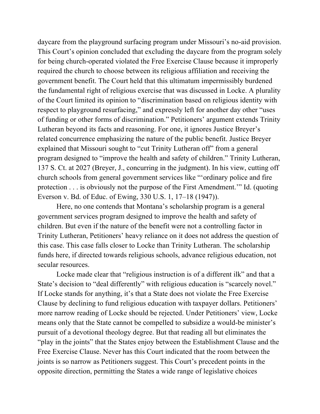daycare from the playground surfacing program under Missouri's no-aid provision. This Court's opinion concluded that excluding the daycare from the program solely for being church-operated violated the Free Exercise Clause because it improperly required the church to choose between its religious affiliation and receiving the government benefit. The Court held that this ultimatum impermissibly burdened the fundamental right of religious exercise that was discussed in Locke. A plurality of the Court limited its opinion to "discrimination based on religious identity with respect to playground resurfacing," and expressly left for another day other "uses of funding or other forms of discrimination." Petitioners' argument extends Trinity Lutheran beyond its facts and reasoning. For one, it ignores Justice Breyer's related concurrence emphasizing the nature of the public benefit. Justice Breyer explained that Missouri sought to "cut Trinity Lutheran off" from a general program designed to "improve the health and safety of children." Trinity Lutheran, 137 S. Ct. at 2027 (Breyer, J., concurring in the judgment). In his view, cutting off church schools from general government services like "'ordinary police and fire protection . . . is obviously not the purpose of the First Amendment.'" Id. (quoting Everson v. Bd. of Educ. of Ewing, 330 U.S. 1, 17–18 (1947)).

Here, no one contends that Montana's scholarship program is a general government services program designed to improve the health and safety of children. But even if the nature of the benefit were not a controlling factor in Trinity Lutheran, Petitioners' heavy reliance on it does not address the question of this case. This case falls closer to Locke than Trinity Lutheran. The scholarship funds here, if directed towards religious schools, advance religious education, not secular resources.

Locke made clear that "religious instruction is of a different ilk" and that a State's decision to "deal differently" with religious education is "scarcely novel." If Locke stands for anything, it's that a State does not violate the Free Exercise Clause by declining to fund religious education with taxpayer dollars. Petitioners' more narrow reading of Locke should be rejected. Under Petitioners' view, Locke means only that the State cannot be compelled to subsidize a would-be minister's pursuit of a devotional theology degree. But that reading all but eliminates the "play in the joints" that the States enjoy between the Establishment Clause and the Free Exercise Clause. Never has this Court indicated that the room between the joints is so narrow as Petitioners suggest. This Court's precedent points in the opposite direction, permitting the States a wide range of legislative choices